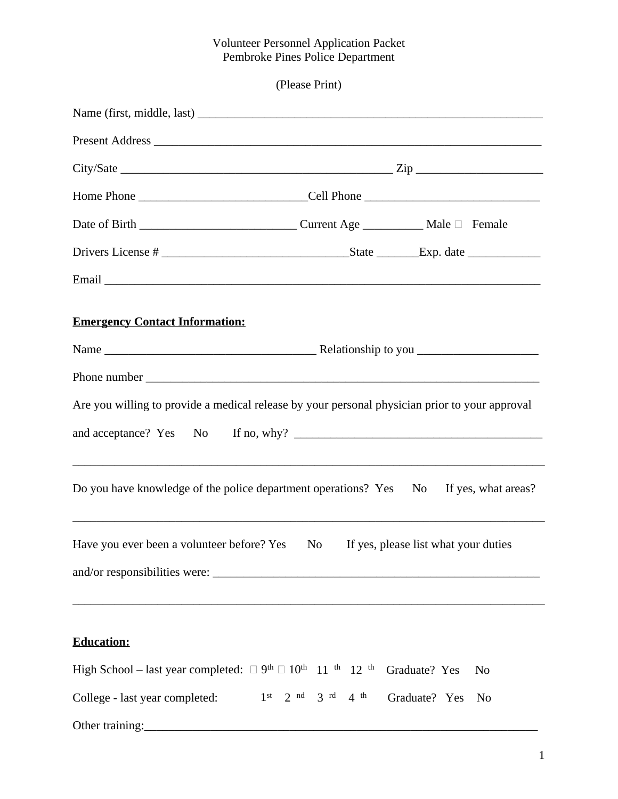#### Volunteer Personnel Application Packet Pembroke Pines Police Department

(Please Print)

| <b>Emergency Contact Information:</b>                                                                                                                                                                          |                                                                                   |                                      |  |
|----------------------------------------------------------------------------------------------------------------------------------------------------------------------------------------------------------------|-----------------------------------------------------------------------------------|--------------------------------------|--|
|                                                                                                                                                                                                                |                                                                                   |                                      |  |
|                                                                                                                                                                                                                |                                                                                   |                                      |  |
| Are you willing to provide a medical release by your personal physician prior to your approval                                                                                                                 |                                                                                   |                                      |  |
|                                                                                                                                                                                                                |                                                                                   |                                      |  |
| <u> 1989 - Johann Harry Harry Harry Harry Harry Harry Harry Harry Harry Harry Harry Harry Harry Harry Harry Harry</u><br>Do you have knowledge of the police department operations? Yes No If yes, what areas? | ,我们也不能在这里的时候,我们也不能在这里的时候,我们也不能在这里的时候,我们也不能会在这里的时候,我们也不能会在这里的时候,我们也不能会在这里的时候,我们也不能 |                                      |  |
| Have you ever been a volunteer before? Yes No                                                                                                                                                                  |                                                                                   | If yes, please list what your duties |  |
|                                                                                                                                                                                                                |                                                                                   |                                      |  |
| <b>Education:</b>                                                                                                                                                                                              |                                                                                   |                                      |  |
|                                                                                                                                                                                                                |                                                                                   |                                      |  |
| High School - last year completed: $\Box$ 9 <sup>th</sup> $\Box$ 10 <sup>th</sup> 11 <sup>th</sup> 12 <sup>th</sup> Graduate? Yes                                                                              |                                                                                   | N <sub>o</sub>                       |  |
| College - last year completed:                                                                                                                                                                                 | $1st$ 2 <sup>nd</sup> 3 <sup>rd</sup> 4 <sup>th</sup> Graduate? Yes               | No                                   |  |
| Other training:                                                                                                                                                                                                |                                                                                   |                                      |  |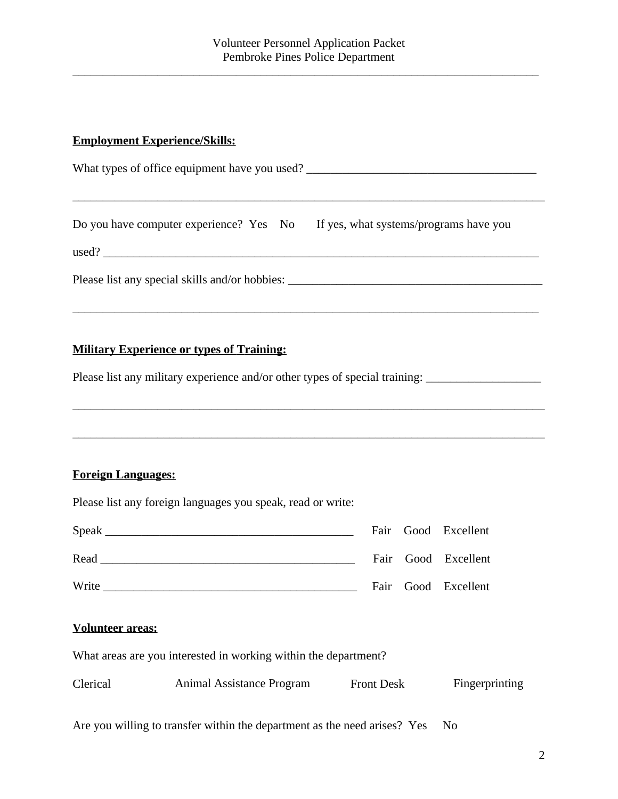\_\_\_\_\_\_\_\_\_\_\_\_\_\_\_\_\_\_\_\_\_\_\_\_\_\_\_\_\_\_\_\_\_\_\_\_\_\_\_\_\_\_\_\_\_\_\_\_\_\_\_\_\_\_\_\_\_\_\_\_\_\_\_\_\_\_\_\_\_\_\_\_\_\_\_\_\_

### **Employment Experience/Skills:**

| What types of office equipment have you used?                                     |  |  |  |  |
|-----------------------------------------------------------------------------------|--|--|--|--|
| Do you have computer experience? Yes No If yes, what systems/programs have you    |  |  |  |  |
| Please list any special skills and/or hobbies: __________________________________ |  |  |  |  |

\_\_\_\_\_\_\_\_\_\_\_\_\_\_\_\_\_\_\_\_\_\_\_\_\_\_\_\_\_\_\_\_\_\_\_\_\_\_\_\_\_\_\_\_\_\_\_\_\_\_\_\_\_\_\_\_\_\_\_\_\_\_\_\_\_\_\_\_\_\_\_\_\_\_\_\_\_\_

\_\_\_\_\_\_\_\_\_\_\_\_\_\_\_\_\_\_\_\_\_\_\_\_\_\_\_\_\_\_\_\_\_\_\_\_\_\_\_\_\_\_\_\_\_\_\_\_\_\_\_\_\_\_\_\_\_\_\_\_\_\_\_\_\_\_\_\_\_\_\_\_\_\_\_\_\_\_

### **Military Experience or types of Training:**

Please list any military experience and/or other types of special training: \_\_\_\_\_\_\_\_\_\_\_\_\_\_\_\_\_\_\_\_\_\_\_\_\_\_\_\_\_\_\_\_\_\_

#### **Foreign Languages:**

|       |  | Fair Good Excellent |
|-------|--|---------------------|
| Read  |  | Fair Good Excellent |
| Write |  | Fair Good Excellent |

## **Volunteer areas:**

What areas are you interested in working within the department?

Please list any foreign languages you speak, read or write:

| Clerical | Animal Assistance Program | <b>Front Desk</b> | Fingerprinting |
|----------|---------------------------|-------------------|----------------|
|----------|---------------------------|-------------------|----------------|

Are you willing to transfer within the department as the need arises? Yes No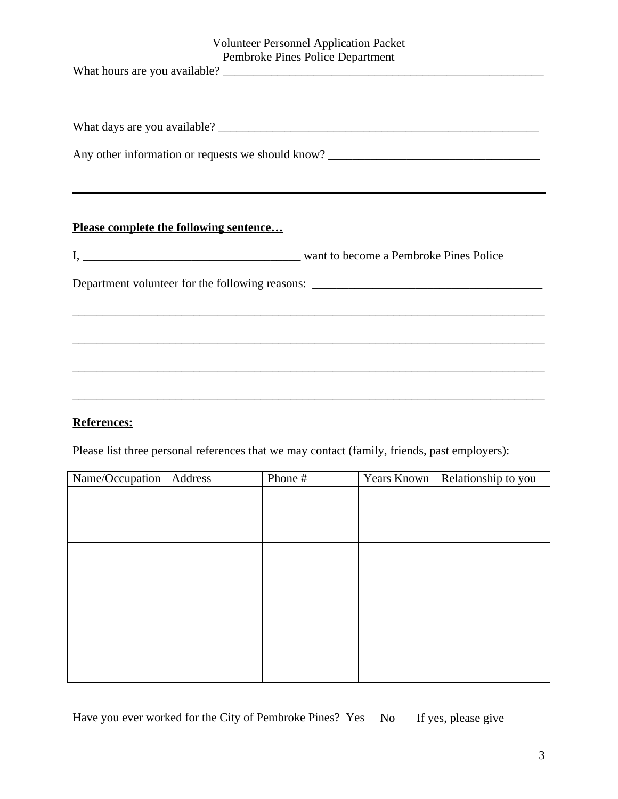| <b>Volunteer Personnel Application Packet</b>                                     |
|-----------------------------------------------------------------------------------|
| Pembroke Pines Police Department                                                  |
|                                                                                   |
|                                                                                   |
|                                                                                   |
|                                                                                   |
|                                                                                   |
| Any other information or requests we should know? _______________________________ |
|                                                                                   |
|                                                                                   |
|                                                                                   |
|                                                                                   |
| <b>Please complete the following sentence</b>                                     |
|                                                                                   |
|                                                                                   |
|                                                                                   |
| Department volunteer for the following reasons: _________________________________ |
|                                                                                   |
|                                                                                   |
|                                                                                   |
|                                                                                   |
|                                                                                   |
|                                                                                   |

# **References:**

Please list three personal references that we may contact (family, friends, past employers):

| Name/Occupation | Address | Phone # | Years Known | Relationship to you |
|-----------------|---------|---------|-------------|---------------------|
|                 |         |         |             |                     |
|                 |         |         |             |                     |
|                 |         |         |             |                     |
|                 |         |         |             |                     |
|                 |         |         |             |                     |
|                 |         |         |             |                     |
|                 |         |         |             |                     |
|                 |         |         |             |                     |
|                 |         |         |             |                     |
|                 |         |         |             |                     |
|                 |         |         |             |                     |
|                 |         |         |             |                     |

Have you ever worked for the City of Pembroke Pines? Yes No If yes, please give